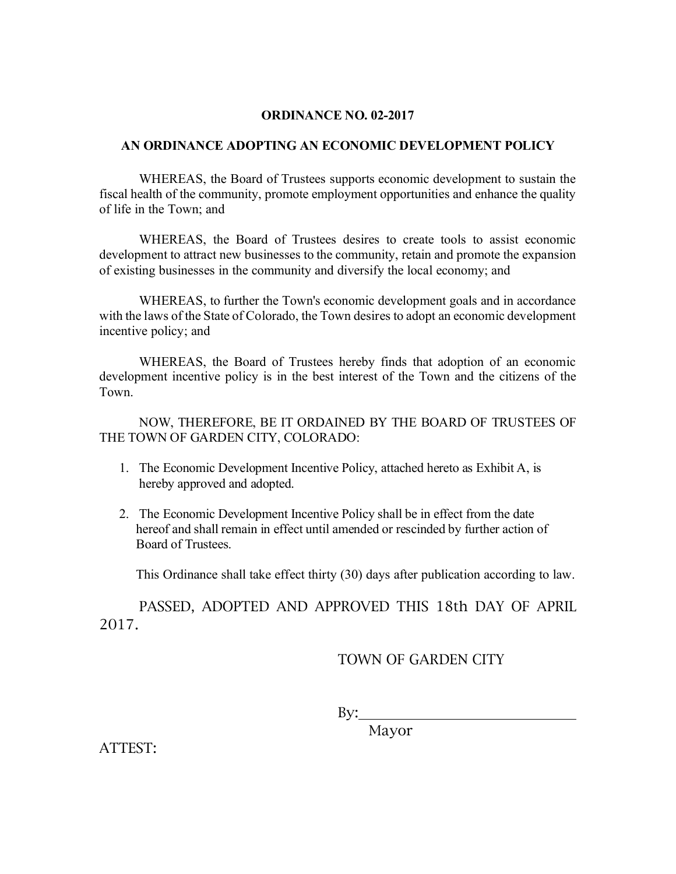## **ORDINANCE NO. 02-2017**

## **AN ORDINANCE ADOPTING AN ECONOMIC DEVELOPMENT POLICY**

WHEREAS, the Board of Trustees supports economic development to sustain the fiscal health of the community, promote employment opportunities and enhance the quality of life in the Town; and

WHEREAS, the Board of Trustees desires to create tools to assist economic development to attract new businesses to the community, retain and promote the expansion of existing businesses in the community and diversify the local economy; and

WHEREAS, to further the Town's economic development goals and in accordance with the laws of the State of Colorado, the Town desires to adopt an economic development incentive policy; and

WHEREAS, the Board of Trustees hereby finds that adoption of an economic development incentive policy is in the best interest of the Town and the citizens of the Town.

NOW, THEREFORE, BE IT ORDAINED BY THE BOARD OF TRUSTEES OF THE TOWN OF GARDEN CITY, COLORADO:

- 1. The Economic Development Incentive Policy, attached hereto as Exhibit A, is hereby approved and adopted.
- 2. The Economic Development Incentive Policy shall be in effect from the date hereof and shall remain in effect until amended or rescinded by further action of Board of Trustees.

This Ordinance shall take effect thirty (30) days after publication according to law.

PASSED, ADOPTED AND APPROVED THIS 18th DAY OF APRIL 2017.

## TOWN OF GARDEN CITY

By:

Mayor

ATTEST: